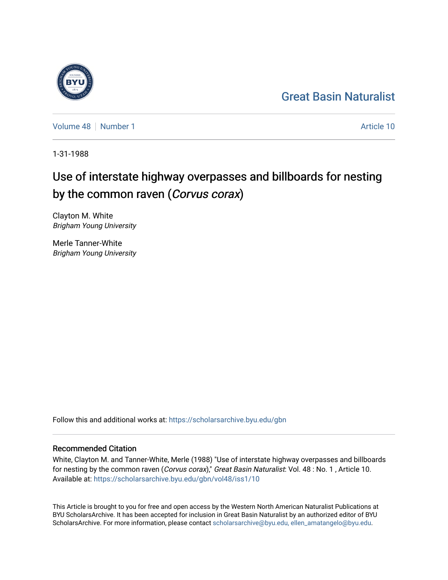## [Great Basin Naturalist](https://scholarsarchive.byu.edu/gbn)

[Volume 48](https://scholarsarchive.byu.edu/gbn/vol48) [Number 1](https://scholarsarchive.byu.edu/gbn/vol48/iss1) Article 10

1-31-1988

# Use of interstate highway overpasses and billboards for nesting by the common raven (Corvus corax)

Clayton M. White Brigham Young University

Merle Tanner-White Brigham Young University

Follow this and additional works at: [https://scholarsarchive.byu.edu/gbn](https://scholarsarchive.byu.edu/gbn?utm_source=scholarsarchive.byu.edu%2Fgbn%2Fvol48%2Fiss1%2F10&utm_medium=PDF&utm_campaign=PDFCoverPages) 

## Recommended Citation

White, Clayton M. and Tanner-White, Merle (1988) "Use of interstate highway overpasses and billboards for nesting by the common raven (Corvus corax)," Great Basin Naturalist: Vol. 48 : No. 1, Article 10. Available at: [https://scholarsarchive.byu.edu/gbn/vol48/iss1/10](https://scholarsarchive.byu.edu/gbn/vol48/iss1/10?utm_source=scholarsarchive.byu.edu%2Fgbn%2Fvol48%2Fiss1%2F10&utm_medium=PDF&utm_campaign=PDFCoverPages) 

This Article is brought to you for free and open access by the Western North American Naturalist Publications at BYU ScholarsArchive. It has been accepted for inclusion in Great Basin Naturalist by an authorized editor of BYU ScholarsArchive. For more information, please contact [scholarsarchive@byu.edu, ellen\\_amatangelo@byu.edu.](mailto:scholarsarchive@byu.edu,%20ellen_amatangelo@byu.edu)

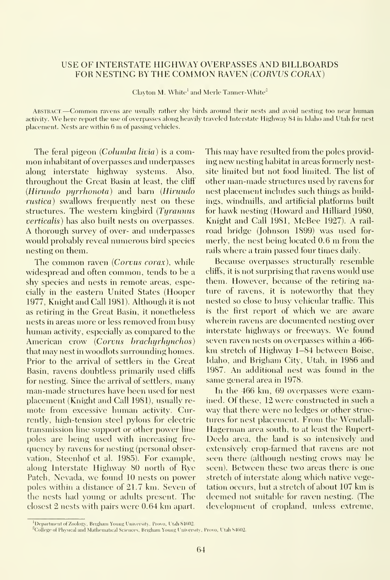#### USE OF INTERSTATE HIGHWAY OVERPASSES AND BILLBOARDS FOR NESTING BY THE COMMON RAVEN {CORVUS CORAX)

Clayton M. White' and Merle Tanner-White"

AbstraCT.—Common ravens are usually rather shy birds around their nests and avoid nesting too near human activity. We here report the use of overpasses along heavily traveled Interstate Highway <sup>84</sup> in Idaho and Utah for nest placement. Nests are within <sup>6</sup> m of passing vehicles.

The feral pigeon *(Columba livia)* is a common inhabitant of overpasses and underpasses along interstate highway systems. Also, throughout the Great Basin at least, the cliff {Hirundo pyrrhonota) and barn (Hirundo rustica) swallows frequently nest on these structures. The western kingbird (Tyrannus verticalis) has also built nests on overpasses. A thorough survey of over- and underpasses would probably reveal numerous bird species nesting on them.

The common raven (Corvus corax), while widespread and often common, tends to be a shy species and nests in remote areas, especially in the eastern LInited States (Hooper 1977, Knight and Call 1981). Although it is not as retiring in the Great Basin, it nonetheless nests in areas more or less removed from busy human activity, especially as compared to the American crow {Corvus brachyrhynchos) that may nest in woodlots surrounding homes. Prior to the arrival of settlers in the Great Basin, ravens doubtless primarily used cliffs for nesting. Since the arrival of settlers, many man-made structures have been used for nest placement (Knight and Call 1981), usually re mote from excessive human activity. Currently, high-tension steel pylons for electric transmission line support or other power line poles are being used with increasing fre quency by ravens for nesting (personal observation, Steenhof et al. 1985). For example, along Interstate Highway 80 north of Rye Patch, Nevada, we found 10 nests on power poles within a distance of 21.7 km. Seven of the nests had young or adults present. The closest 2 nests with pairs were 0.64 km apart.

This may have resulted from the poles providing new nesting habitat in areas formerly nestsite limited but not food limited. The list of other man-made structures used by ravens for nest placement includes such things as buildings, windmills, and artificial platforms built for hawk nesting (Howard and Hilliard 1980, Knight and Call 1981, McBee 1927). A rail road bridge (Johnson 1899) was used for merly, the nest being located 0.6 m from the rails where a train passed four times daily.

Because overpasses structurally resemble cliff^s, it is not surprising that ravens would use them. However, because of the retiring nature of ravens, it is noteworthy that they nested so close to busy vehicular traffic. This is the first report of which we are aware wherein ravens are documented nesting over interstate highways or freeways. We found seven raven nests on overpasses within a 466 km stretch of Highway 1—84 between Boise, Idaho, and Brigham City, Utah, in 1986 and 1987. An additional nest was found in the same general area in 1978.

In the 466 km, 69 overpasses were examined. Of these, 12 were constructed in such a way that there were no ledges or other struc tures for nest placement. From the Wendall-Hagerman area south, to at least the Rupert-Declo area, the land is so intensively and extensively erop-farmed that ravens are not seen there (although nesting crows may be seen). Between these two areas there is one stretch of interstate along which native vegetation occurs, but <sup>a</sup> stretch of about 107 km is deemed not suitable for rayen nesting. (The development of cropland, unless extreme,

<sup>&</sup>lt;sup>1</sup>Department of Zoology. Brigham Young University, Provo, Utah 84602.

<sup>&</sup>lt;sup>2</sup>College of Physical and Mathematical Sciences, Brigham Young University, Provo, Utah 84602.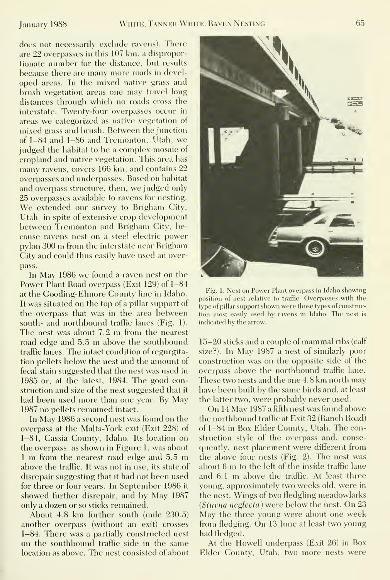does not necessarily exclude ravens). There are 22 overpasses in this 107 km, a disproportionate number for the distance, but results because there are many more roads in developed areas. In the mixed native grass and brush vegetation areas one may travel long distances through which no roads cross the interstate. Twenty-four overpasses occur in areas we categorized as native vegetation of mixed grass and brush. Between the junction of 1-84 and 1-86 and Tremonton, Utah, we judged the habitat to be a complex mosaic of cropland and native vegetation. This area has many ravens, covers 166 km, and contains 22 overpasses and underpasses. Based on habitat and overpass structure, then, we judged only 25 overpasses available to ravens for nesting. We extended our survey to Brigham City, Utah, in spite of extensive crop development between Tremonton and Brigham City, be cause ravens nest on a steel electric power pylon <sup>300</sup> m from the interstate near Brigham City and could thus easily have used an overpass.

In May 1986 we found <sup>a</sup> raven nest on the Power Plant Road overpass (Exit 129) of 1-84 at the Gooding-Elmore County line in Idaho. It was situated on the top of a pillar support of the overpass that was in the area between south- and northbound traffic lanes (Fig. 1). The nest was about 7.2 m from the nearest road edge and 5.5 m above the southbound traffic lanes. The intact condition of regurgitation pellets below the nest and the amount of fecal stain suggested that the nest was used in 1985 or, at the latest, 1984. The good construction and size of the nest suggested that it had been used more than one year. By May 1987 no pellets remained intact.

In May 1986 <sup>a</sup> second nest was found on the overpass at the Malta-York exit (Exit 228) of 1-84, Cassia County, Idaho. Its location on the overpass, as shown in Figure 1, was about <sup>1</sup> m from the nearest road edge and 5.5 m above the traffic. It was not in use, its state of disrepair suggesting that it had not been used for three or four years. In September 1986 it showed further disrepair, and by May 1987 only a dozen or so sticks remained.

About 4.8 km further south (mile 230.5) another overpass (without an exit) crosses 1-84. There was a partially constructed nest on the southbound traffic side in the same location as above. The nest consisted of about



Fig. 1. Nest on Power Plant overpass in Idaho showing position of nest relative to traffic. Overpasses with the type of pillar support shown were those types of construction most easily used by ravens in Idaho. The nest is indicated by the arrow.

15-20 sticks and <sup>a</sup> couple of mammal ribs (calf size?). In May 1987 <sup>a</sup> nest of similarly poor construction was on the opposite side of the overpass above the northbound traffic lane. These two nests and the one 4.8 km north may have been built by the same birds and, at least the latter two, were probably never used.

On <sup>14</sup> May 1987 <sup>a</sup> fifth nest was found above the northbound traffic at Exit 32 (Ranch Road) of 1-84 in Box Elder County, Utah. The construction style of the overpass and, consequently, nest placement were different from the above four nests (Fig. 2). The nest was about <sup>6</sup> m to the left of the inside traffic lane and 6.1 m above the traffic. At least three young, approximately two weeks old, were in the nest. Wings of two fledgling meadowlarks {Sturna neglecta ) were below the nest. On 23 May the three young were about one week from fledging. On <sup>13</sup> June at least two young had fledged.

At the Howell underpass (Exit 26) in Box Elder Countv, Utah, two more nests were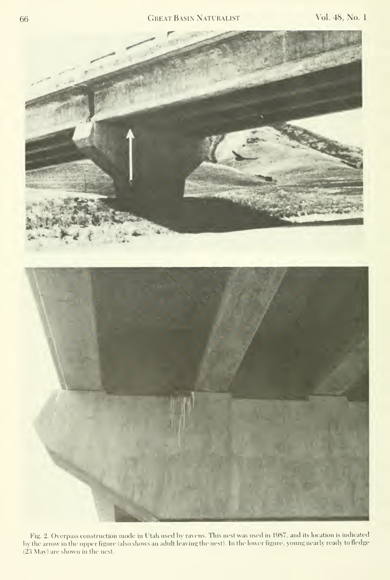## 66 Great Basin Naturalist Vol. 48, No. <sup>1</sup>



Fig. 2. Overpass construction mode inI'tah used hy ravens. This nest was used in 1987, and its location is indicated by the arrow in the upper figure (also shows an adult leaving the nest). In the lower figure, young nearly ready to fledge (23 May) are shown in the nest.